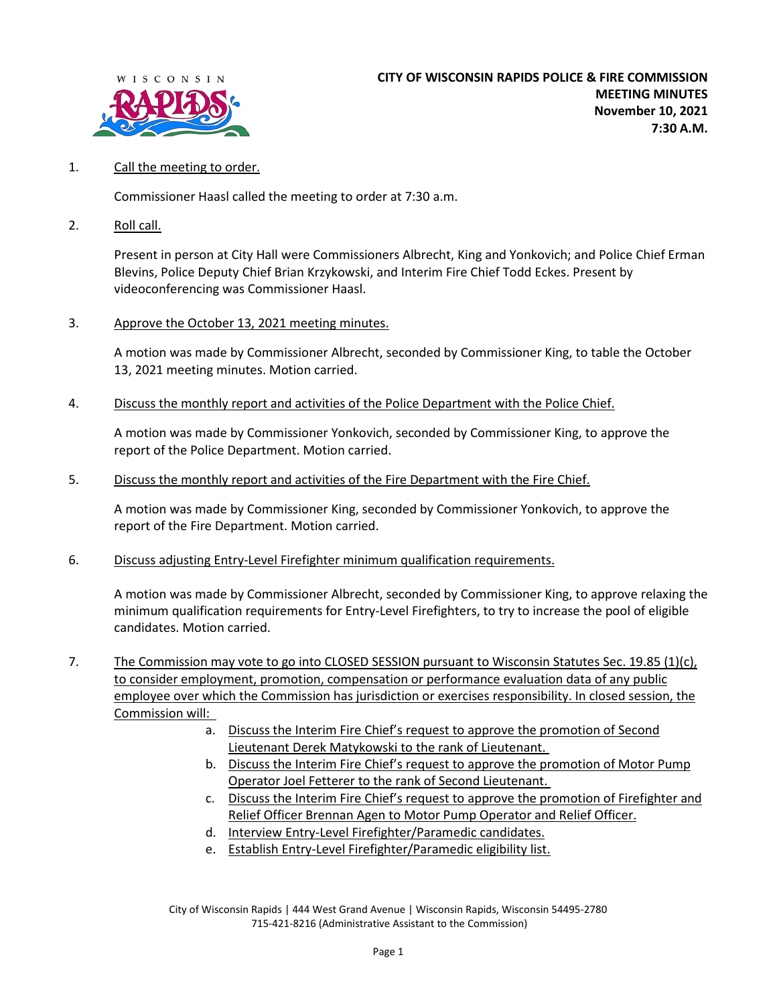

## 1. Call the meeting to order.

Commissioner Haasl called the meeting to order at 7:30 a.m.

2. Roll call.

Present in person at City Hall were Commissioners Albrecht, King and Yonkovich; and Police Chief Erman Blevins, Police Deputy Chief Brian Krzykowski, and Interim Fire Chief Todd Eckes. Present by videoconferencing was Commissioner Haasl.

3. Approve the October 13, 2021 meeting minutes.

A motion was made by Commissioner Albrecht, seconded by Commissioner King, to table the October 13, 2021 meeting minutes. Motion carried.

4. Discuss the monthly report and activities of the Police Department with the Police Chief.

A motion was made by Commissioner Yonkovich, seconded by Commissioner King, to approve the report of the Police Department. Motion carried.

5. Discuss the monthly report and activities of the Fire Department with the Fire Chief.

A motion was made by Commissioner King, seconded by Commissioner Yonkovich, to approve the report of the Fire Department. Motion carried.

6. Discuss adjusting Entry-Level Firefighter minimum qualification requirements.

A motion was made by Commissioner Albrecht, seconded by Commissioner King, to approve relaxing the minimum qualification requirements for Entry-Level Firefighters, to try to increase the pool of eligible candidates. Motion carried.

- 7. The Commission may vote to go into CLOSED SESSION pursuant to Wisconsin Statutes Sec. 19.85 (1)(c), to consider employment, promotion, compensation or performance evaluation data of any public employee over which the Commission has jurisdiction or exercises responsibility. In closed session, the Commission will:
	- a. Discuss the Interim Fire Chief's request to approve the promotion of Second Lieutenant Derek Matykowski to the rank of Lieutenant.
	- b. Discuss the Interim Fire Chief's request to approve the promotion of Motor Pump Operator Joel Fetterer to the rank of Second Lieutenant.
	- c. Discuss the Interim Fire Chief's request to approve the promotion of Firefighter and Relief Officer Brennan Agen to Motor Pump Operator and Relief Officer.
	- d. Interview Entry-Level Firefighter/Paramedic candidates.
	- e. Establish Entry-Level Firefighter/Paramedic eligibility list.

City of Wisconsin Rapids | 444 West Grand Avenue | Wisconsin Rapids, Wisconsin 54495-2780 715-421-8216 (Administrative Assistant to the Commission)